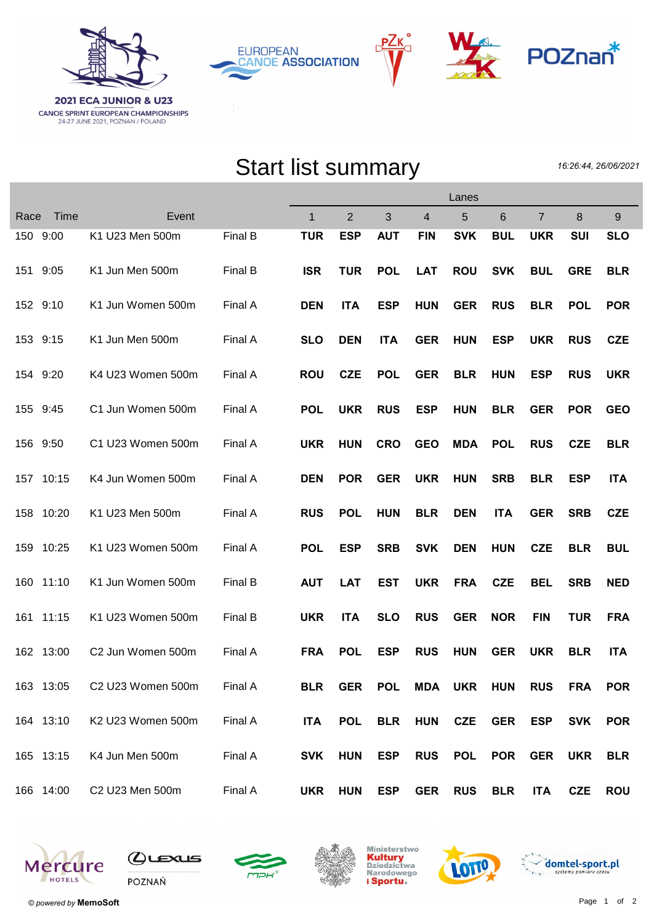





## Start list summary

16:26:44, 26/06/2021

|           |       |                   | Lanes   |              |                |            |            |                |            |                |            |            |
|-----------|-------|-------------------|---------|--------------|----------------|------------|------------|----------------|------------|----------------|------------|------------|
| Race      | Time  | Event             |         | $\mathbf{1}$ | $\overline{2}$ | 3          | 4          | 5              | 6          | $\overline{7}$ | 8          | 9          |
| 150 9:00  |       | K1 U23 Men 500m   | Final B | <b>TUR</b>   | <b>ESP</b>     | <b>AUT</b> | <b>FIN</b> | <b>SVK</b>     | <b>BUL</b> | <b>UKR</b>     | <b>SUI</b> | <b>SLO</b> |
| 151       | 9:05  | K1 Jun Men 500m   | Final B | <b>ISR</b>   | <b>TUR</b>     | <b>POL</b> | <b>LAT</b> | <b>ROU</b>     | <b>SVK</b> | <b>BUL</b>     | <b>GRE</b> | <b>BLR</b> |
| 152 9:10  |       | K1 Jun Women 500m | Final A | <b>DEN</b>   | <b>ITA</b>     | <b>ESP</b> | <b>HUN</b> | <b>GER</b>     | <b>RUS</b> | <b>BLR</b>     | <b>POL</b> | <b>POR</b> |
| 153 9:15  |       | K1 Jun Men 500m   | Final A | <b>SLO</b>   | <b>DEN</b>     | <b>ITA</b> | <b>GER</b> | <b>HUN</b>     | <b>ESP</b> | <b>UKR</b>     | <b>RUS</b> | <b>CZE</b> |
| 154 9:20  |       | K4 U23 Women 500m | Final A | <b>ROU</b>   | <b>CZE</b>     | <b>POL</b> | <b>GER</b> | <b>BLR</b>     | <b>HUN</b> | <b>ESP</b>     | <b>RUS</b> | <b>UKR</b> |
| 155 9:45  |       | C1 Jun Women 500m | Final A | <b>POL</b>   | <b>UKR</b>     | <b>RUS</b> | <b>ESP</b> | <b>HUN</b>     | <b>BLR</b> | <b>GER</b>     | <b>POR</b> | <b>GEO</b> |
| 156       | 9:50  | C1 U23 Women 500m | Final A | <b>UKR</b>   | <b>HUN</b>     | <b>CRO</b> | <b>GEO</b> | <b>MDA</b>     | <b>POL</b> | <b>RUS</b>     | <b>CZE</b> | <b>BLR</b> |
| 157 10:15 |       | K4 Jun Women 500m | Final A | <b>DEN</b>   | <b>POR</b>     | <b>GER</b> | <b>UKR</b> | <b>HUN</b>     | <b>SRB</b> | <b>BLR</b>     | <b>ESP</b> | <b>ITA</b> |
| 158       | 10:20 | K1 U23 Men 500m   | Final A | <b>RUS</b>   | <b>POL</b>     | <b>HUN</b> | <b>BLR</b> | <b>DEN</b>     | <b>ITA</b> | <b>GER</b>     | <b>SRB</b> | <b>CZE</b> |
| 159       | 10:25 | K1 U23 Women 500m | Final A | <b>POL</b>   | <b>ESP</b>     | <b>SRB</b> | <b>SVK</b> | <b>DEN</b>     | <b>HUN</b> | <b>CZE</b>     | <b>BLR</b> | <b>BUL</b> |
| 160       | 11:10 | K1 Jun Women 500m | Final B | <b>AUT</b>   | <b>LAT</b>     | <b>EST</b> | <b>UKR</b> | <b>FRA</b>     | <b>CZE</b> | <b>BEL</b>     | <b>SRB</b> | <b>NED</b> |
| 161       | 11:15 | K1 U23 Women 500m | Final B | <b>UKR</b>   | <b>ITA</b>     | <b>SLO</b> | <b>RUS</b> | <b>GER</b>     | <b>NOR</b> | <b>FIN</b>     | <b>TUR</b> | <b>FRA</b> |
| 162 13:00 |       | C2 Jun Women 500m | Final A | <b>FRA</b>   | <b>POL</b>     | <b>ESP</b> | <b>RUS</b> | <b>HUN</b>     | <b>GER</b> | <b>UKR</b>     | <b>BLR</b> | <b>ITA</b> |
| 163 13:05 |       | C2 U23 Women 500m | Final A | <b>BLR</b>   | <b>GER</b>     | <b>POL</b> |            | <b>MDA UKR</b> | <b>HUN</b> | <b>RUS</b>     | <b>FRA</b> | <b>POR</b> |
| 164 13:10 |       | K2 U23 Women 500m | Final A | <b>ITA</b>   | <b>POL</b>     | <b>BLR</b> | <b>HUN</b> | <b>CZE</b>     | <b>GER</b> | <b>ESP</b>     | <b>SVK</b> | <b>POR</b> |
| 165 13:15 |       | K4 Jun Men 500m   | Final A | SVK          | <b>HUN</b>     | <b>ESP</b> | <b>RUS</b> | <b>POL</b>     | <b>POR</b> | <b>GER</b>     | <b>UKR</b> | <b>BLR</b> |
| 166 14:00 |       | C2 U23 Men 500m   | Final A |              | UKR HUN        | ESP        | <b>GER</b> | <b>RUS</b>     | <b>BLR</b> | <b>ITA</b>     | <b>CZE</b> | <b>ROU</b> |